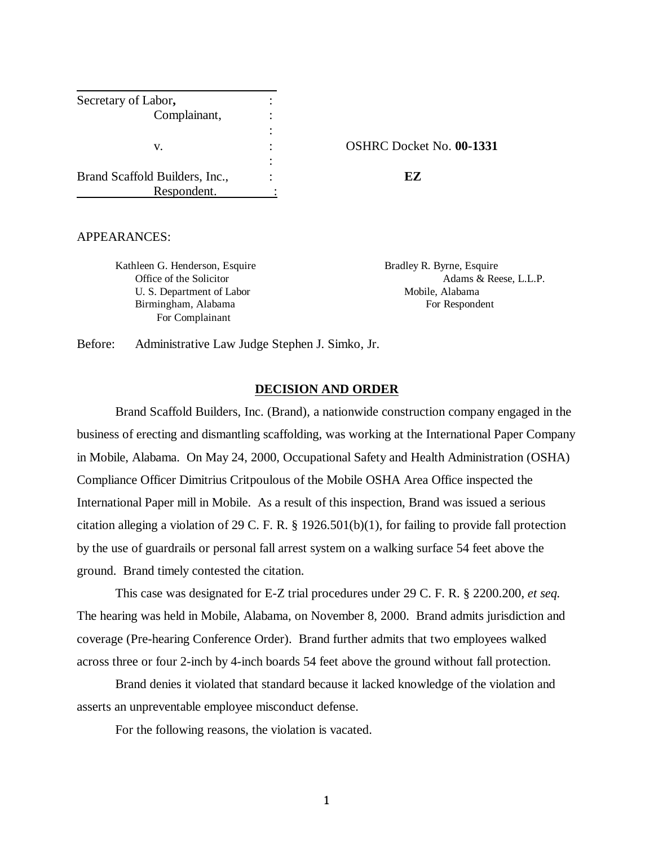| Secretary of Labor,            |                   |
|--------------------------------|-------------------|
| Complainant,                   |                   |
|                                |                   |
| v.                             | <b>OSHRC</b> Dock |
|                                |                   |
| Brand Scaffold Builders, Inc., | FZ                |
| Respondent.                    |                   |

v. : OSHRC Docket No. **00-1331**

#### APPEARANCES:

Kathleen G. Henderson, Esquire Bradley R. Byrne, Esquire U. S. Department of Labor Mobile, Alabama Birmingham, Alabama For Respondent For Complainant

Office of the Solicitor **Adams & Reese, L.L.P.** 

Before: Administrative Law Judge Stephen J. Simko, Jr.

#### **DECISION AND ORDER**

Brand Scaffold Builders, Inc. (Brand), a nationwide construction company engaged in the business of erecting and dismantling scaffolding, was working at the International Paper Company in Mobile, Alabama. On May 24, 2000, Occupational Safety and Health Administration (OSHA) Compliance Officer Dimitrius Critpoulous of the Mobile OSHA Area Office inspected the International Paper mill in Mobile. As a result of this inspection, Brand was issued a serious citation alleging a violation of 29 C. F. R. § 1926.501(b)(1), for failing to provide fall protection by the use of guardrails or personal fall arrest system on a walking surface 54 feet above the ground. Brand timely contested the citation.

This case was designated for E-Z trial procedures under 29 C. F. R. § 2200.200, *et seq.*  The hearing was held in Mobile, Alabama, on November 8, 2000. Brand admits jurisdiction and coverage (Pre-hearing Conference Order). Brand further admits that two employees walked across three or four 2-inch by 4-inch boards 54 feet above the ground without fall protection.

Brand denies it violated that standard because it lacked knowledge of the violation and asserts an unpreventable employee misconduct defense.

For the following reasons, the violation is vacated.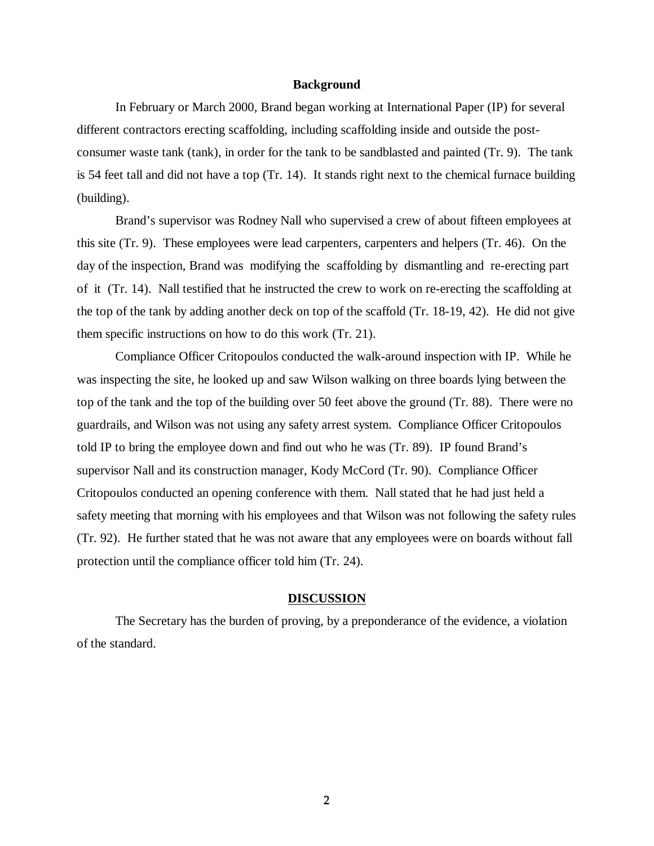## **Background**

In February or March 2000, Brand began working at International Paper (IP) for several different contractors erecting scaffolding, including scaffolding inside and outside the postconsumer waste tank (tank), in order for the tank to be sandblasted and painted (Tr. 9). The tank is 54 feet tall and did not have a top (Tr. 14). It stands right next to the chemical furnace building (building).

Brand's supervisor was Rodney Nall who supervised a crew of about fifteen employees at this site (Tr. 9). These employees were lead carpenters, carpenters and helpers (Tr. 46). On the day of the inspection, Brand was modifying the scaffolding by dismantling and re-erecting part of it (Tr. 14). Nall testified that he instructed the crew to work on re-erecting the scaffolding at the top of the tank by adding another deck on top of the scaffold (Tr. 18-19, 42). He did not give them specific instructions on how to do this work (Tr. 21).

Compliance Officer Critopoulos conducted the walk-around inspection with IP. While he was inspecting the site, he looked up and saw Wilson walking on three boards lying between the top of the tank and the top of the building over 50 feet above the ground (Tr. 88). There were no guardrails, and Wilson was not using any safety arrest system. Compliance Officer Critopoulos told IP to bring the employee down and find out who he was (Tr. 89). IP found Brand's supervisor Nall and its construction manager, Kody McCord (Tr. 90). Compliance Officer Critopoulos conducted an opening conference with them. Nall stated that he had just held a safety meeting that morning with his employees and that Wilson was not following the safety rules (Tr. 92). He further stated that he was not aware that any employees were on boards without fall protection until the compliance officer told him (Tr. 24).

#### **DISCUSSION**

The Secretary has the burden of proving, by a preponderance of the evidence, a violation of the standard.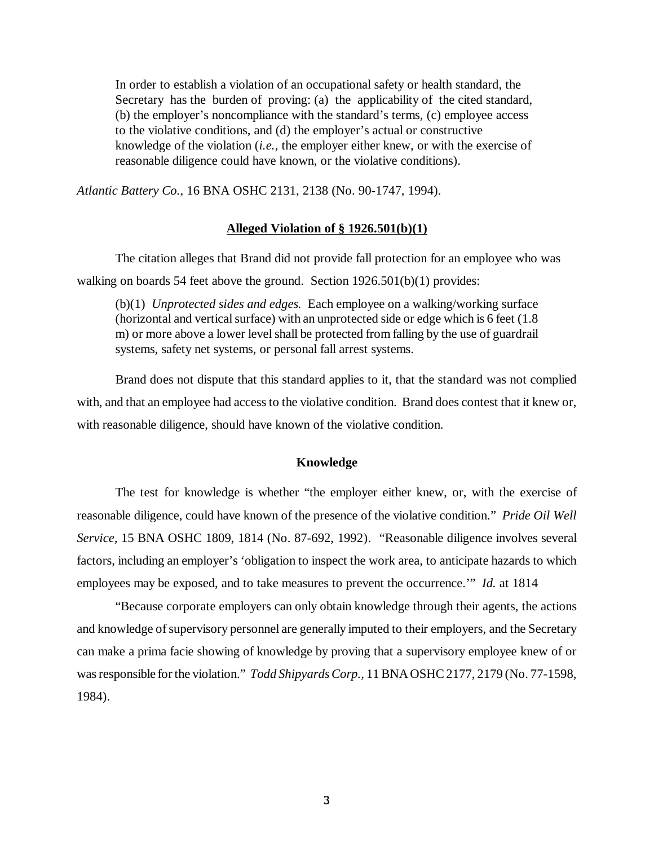In order to establish a violation of an occupational safety or health standard, the Secretary has the burden of proving: (a) the applicability of the cited standard, (b) the employer's noncompliance with the standard's terms, (c) employee access to the violative conditions, and (d) the employer's actual or constructive knowledge of the violation (*i.e.,* the employer either knew, or with the exercise of reasonable diligence could have known, or the violative conditions).

*Atlantic Battery Co.,* 16 BNA OSHC 2131, 2138 (No. 90-1747, 1994).

# **Alleged Violation of § 1926.501(b)(1)**

The citation alleges that Brand did not provide fall protection for an employee who was walking on boards 54 feet above the ground. Section 1926.501(b)(1) provides:

(b)(1) *Unprotected sides and edges.* Each employee on a walking/working surface (horizontal and vertical surface) with an unprotected side or edge which is 6 feet (1.8 m) or more above a lower level shall be protected from falling by the use of guardrail systems, safety net systems, or personal fall arrest systems.

Brand does not dispute that this standard applies to it, that the standard was not complied with, and that an employee had access to the violative condition. Brand does contest that it knew or, with reasonable diligence, should have known of the violative condition.

# **Knowledge**

The test for knowledge is whether "the employer either knew, or, with the exercise of reasonable diligence, could have known of the presence of the violative condition." *Pride Oil Well Service,* 15 BNA OSHC 1809, 1814 (No. 87-692, 1992). "Reasonable diligence involves several factors, including an employer's 'obligation to inspect the work area, to anticipate hazards to which employees may be exposed, and to take measures to prevent the occurrence.'" *Id.* at 1814

"Because corporate employers can only obtain knowledge through their agents, the actions and knowledge of supervisory personnel are generally imputed to their employers, and the Secretary can make a prima facie showing of knowledge by proving that a supervisory employee knew of or was responsible for the violation." *Todd Shipyards Corp.,* 11 BNA OSHC 2177, 2179 (No. 77-1598, 1984).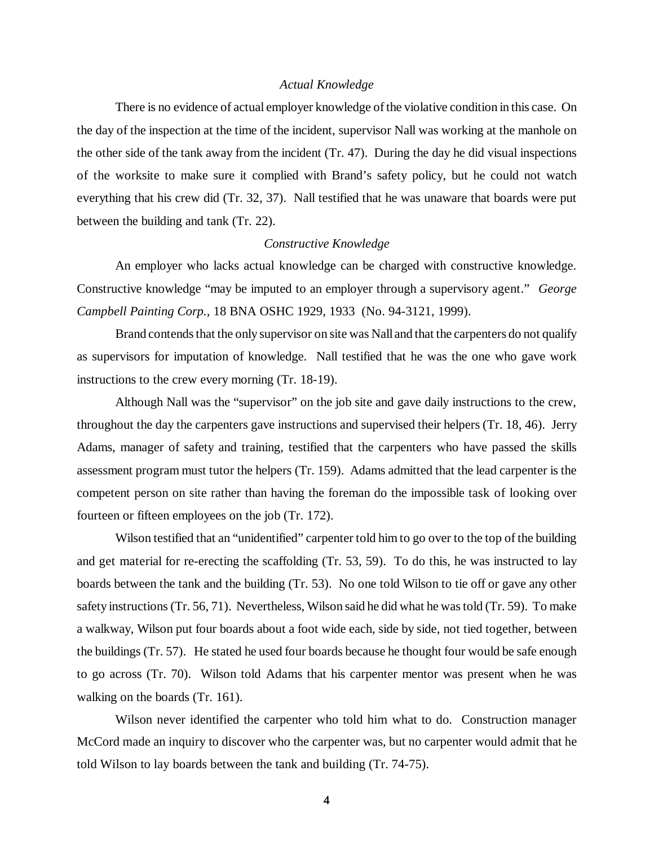#### *Actual Knowledge*

There is no evidence of actual employer knowledge of the violative condition in this case. On the day of the inspection at the time of the incident, supervisor Nall was working at the manhole on the other side of the tank away from the incident (Tr. 47). During the day he did visual inspections of the worksite to make sure it complied with Brand's safety policy, but he could not watch everything that his crew did (Tr. 32, 37). Nall testified that he was unaware that boards were put between the building and tank (Tr. 22).

#### *Constructive Knowledge*

An employer who lacks actual knowledge can be charged with constructive knowledge. Constructive knowledge "may be imputed to an employer through a supervisory agent." *George Campbell Painting Corp.,* 18 BNA OSHC 1929, 1933 (No. 94-3121, 1999).

Brand contends that the only supervisor on site was Nall and that the carpenters do not qualify as supervisors for imputation of knowledge. Nall testified that he was the one who gave work instructions to the crew every morning (Tr. 18-19).

Although Nall was the "supervisor" on the job site and gave daily instructions to the crew, throughout the day the carpenters gave instructions and supervised their helpers (Tr. 18, 46). Jerry Adams, manager of safety and training, testified that the carpenters who have passed the skills assessment program must tutor the helpers (Tr. 159). Adams admitted that the lead carpenter is the competent person on site rather than having the foreman do the impossible task of looking over fourteen or fifteen employees on the job (Tr. 172).

Wilson testified that an "unidentified" carpenter told him to go over to the top of the building and get material for re-erecting the scaffolding (Tr. 53, 59). To do this, he was instructed to lay boards between the tank and the building (Tr. 53). No one told Wilson to tie off or gave any other safety instructions (Tr. 56, 71). Nevertheless, Wilson said he did what he was told (Tr. 59). To make a walkway, Wilson put four boards about a foot wide each, side by side, not tied together, between the buildings (Tr. 57). He stated he used four boards because he thought four would be safe enough to go across (Tr. 70). Wilson told Adams that his carpenter mentor was present when he was walking on the boards (Tr. 161).

Wilson never identified the carpenter who told him what to do. Construction manager McCord made an inquiry to discover who the carpenter was, but no carpenter would admit that he told Wilson to lay boards between the tank and building (Tr. 74-75).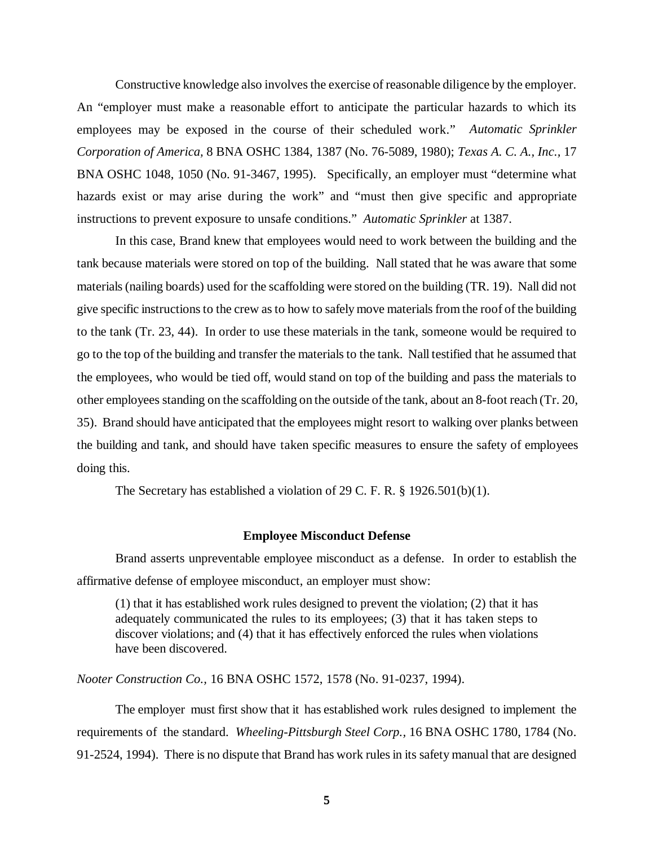Constructive knowledge also involves the exercise of reasonable diligence by the employer. An "employer must make a reasonable effort to anticipate the particular hazards to which its employees may be exposed in the course of their scheduled work." *Automatic Sprinkler Corporation of America,* 8 BNA OSHC 1384, 1387 (No. 76-5089, 1980); *Texas A. C. A., Inc.,* 17 BNA OSHC 1048, 1050 (No. 91-3467, 1995). Specifically, an employer must "determine what hazards exist or may arise during the work" and "must then give specific and appropriate instructions to prevent exposure to unsafe conditions." *Automatic Sprinkler* at 1387.

In this case, Brand knew that employees would need to work between the building and the tank because materials were stored on top of the building. Nall stated that he was aware that some materials (nailing boards) used for the scaffolding were stored on the building (TR. 19). Nall did not give specific instructions to the crew as to how to safely move materials from the roof of the building to the tank (Tr. 23, 44). In order to use these materials in the tank, someone would be required to go to the top of the building and transfer the materials to the tank. Nall testified that he assumed that the employees, who would be tied off, would stand on top of the building and pass the materials to other employees standing on the scaffolding on the outside of the tank, about an 8-foot reach (Tr. 20, 35). Brand should have anticipated that the employees might resort to walking over planks between the building and tank, and should have taken specific measures to ensure the safety of employees doing this.

The Secretary has established a violation of 29 C. F. R. § 1926.501(b)(1).

#### **Employee Misconduct Defense**

Brand asserts unpreventable employee misconduct as a defense. In order to establish the affirmative defense of employee misconduct, an employer must show:

(1) that it has established work rules designed to prevent the violation; (2) that it has adequately communicated the rules to its employees; (3) that it has taken steps to discover violations; and (4) that it has effectively enforced the rules when violations have been discovered.

*Nooter Construction Co.,* 16 BNA OSHC 1572, 1578 (No. 91-0237, 1994).

The employer must first show that it has established work rules designed to implement the requirements of the standard. *Wheeling-Pittsburgh Steel Corp.,* 16 BNA OSHC 1780, 1784 (No. 91-2524, 1994). There is no dispute that Brand has work rules in its safety manual that are designed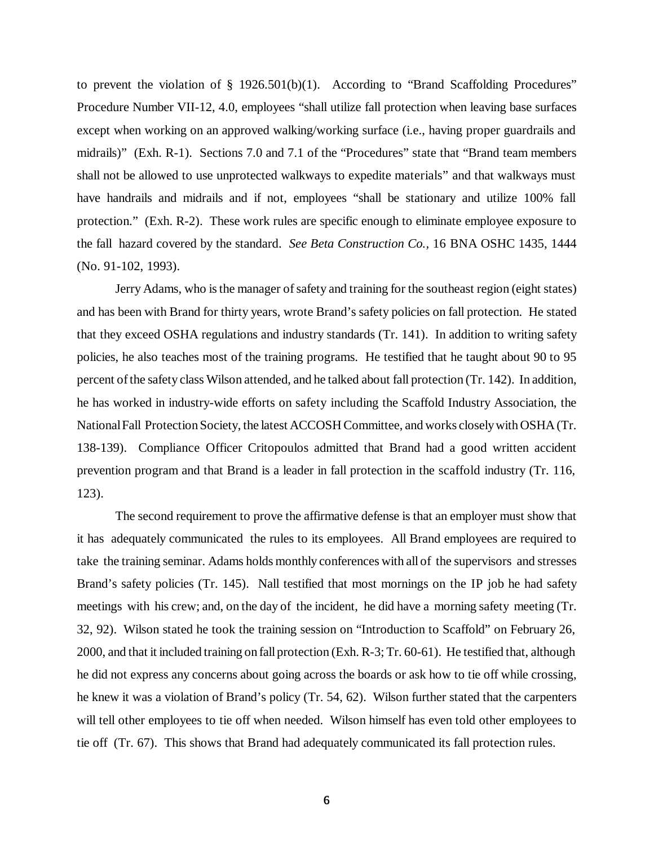to prevent the violation of § 1926.501(b)(1). According to "Brand Scaffolding Procedures" Procedure Number VII-12, 4.0, employees "shall utilize fall protection when leaving base surfaces except when working on an approved walking/working surface (i.e., having proper guardrails and midrails)" (Exh. R-1). Sections 7.0 and 7.1 of the "Procedures" state that "Brand team members shall not be allowed to use unprotected walkways to expedite materials" and that walkways must have handrails and midrails and if not, employees "shall be stationary and utilize 100% fall protection." (Exh. R-2). These work rules are specific enough to eliminate employee exposure to the fall hazard covered by the standard. *See Beta Construction Co.,* 16 BNA OSHC 1435, 1444 (No. 91-102, 1993).

Jerry Adams, who is the manager of safety and training for the southeast region (eight states) and has been with Brand for thirty years, wrote Brand's safety policies on fall protection. He stated that they exceed OSHA regulations and industry standards (Tr. 141). In addition to writing safety policies, he also teaches most of the training programs. He testified that he taught about 90 to 95 percent of the safety class Wilson attended, and he talked about fall protection (Tr. 142). In addition, he has worked in industry-wide efforts on safety including the Scaffold Industry Association, the National Fall Protection Society, the latest ACCOSH Committee, and works closely with OSHA (Tr. 138-139). Compliance Officer Critopoulos admitted that Brand had a good written accident prevention program and that Brand is a leader in fall protection in the scaffold industry (Tr. 116, 123).

The second requirement to prove the affirmative defense is that an employer must show that it has adequately communicated the rules to its employees. All Brand employees are required to take the training seminar. Adams holds monthly conferences with all of the supervisors and stresses Brand's safety policies (Tr. 145). Nall testified that most mornings on the IP job he had safety meetings with his crew; and, on the day of the incident, he did have a morning safety meeting (Tr. 32, 92). Wilson stated he took the training session on "Introduction to Scaffold" on February 26, 2000, and that it included training on fall protection (Exh. R-3; Tr. 60-61). He testified that, although he did not express any concerns about going across the boards or ask how to tie off while crossing, he knew it was a violation of Brand's policy (Tr. 54, 62). Wilson further stated that the carpenters will tell other employees to tie off when needed. Wilson himself has even told other employees to tie off (Tr. 67). This shows that Brand had adequately communicated its fall protection rules.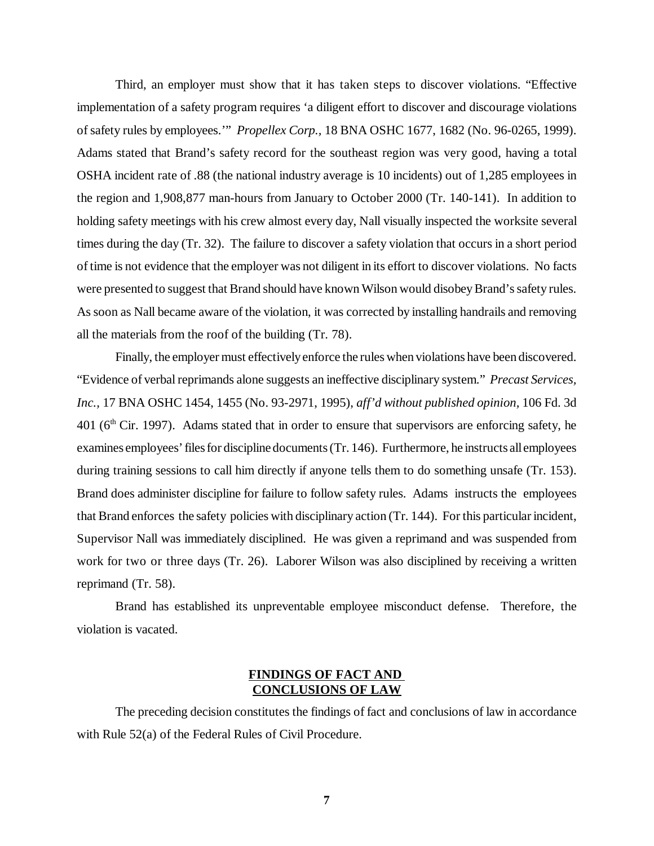Third, an employer must show that it has taken steps to discover violations. "Effective implementation of a safety program requires 'a diligent effort to discover and discourage violations of safety rules by employees.'" *Propellex Corp.,* 18 BNA OSHC 1677, 1682 (No. 96-0265, 1999). Adams stated that Brand's safety record for the southeast region was very good, having a total OSHA incident rate of .88 (the national industry average is 10 incidents) out of 1,285 employees in the region and 1,908,877 man-hours from January to October 2000 (Tr. 140-141). In addition to holding safety meetings with his crew almost every day, Nall visually inspected the worksite several times during the day (Tr. 32). The failure to discover a safety violation that occurs in a short period of time is not evidence that the employer was not diligent in its effort to discover violations. No facts were presented to suggest that Brand should have known Wilson would disobey Brand's safety rules. As soon as Nall became aware of the violation, it was corrected by installing handrails and removing all the materials from the roof of the building (Tr. 78).

Finally, the employer must effectively enforce the rules when violations have been discovered. "Evidence of verbal reprimands alone suggests an ineffective disciplinary system." *Precast Services, Inc.,* 17 BNA OSHC 1454, 1455 (No. 93-2971, 1995), *aff'd without published opinion,* 106 Fd. 3d  $401$  ( $6<sup>th</sup>$  Cir. 1997). Adams stated that in order to ensure that supervisors are enforcing safety, he examines employees' files for discipline documents (Tr. 146). Furthermore, he instructs all employees during training sessions to call him directly if anyone tells them to do something unsafe (Tr. 153). Brand does administer discipline for failure to follow safety rules. Adams instructs the employees that Brand enforces the safety policies with disciplinary action (Tr. 144). For this particular incident, Supervisor Nall was immediately disciplined. He was given a reprimand and was suspended from work for two or three days (Tr. 26). Laborer Wilson was also disciplined by receiving a written reprimand (Tr. 58).

Brand has established its unpreventable employee misconduct defense. Therefore, the violation is vacated.

# **FINDINGS OF FACT AND CONCLUSIONS OF LAW**

The preceding decision constitutes the findings of fact and conclusions of law in accordance with Rule 52(a) of the Federal Rules of Civil Procedure.